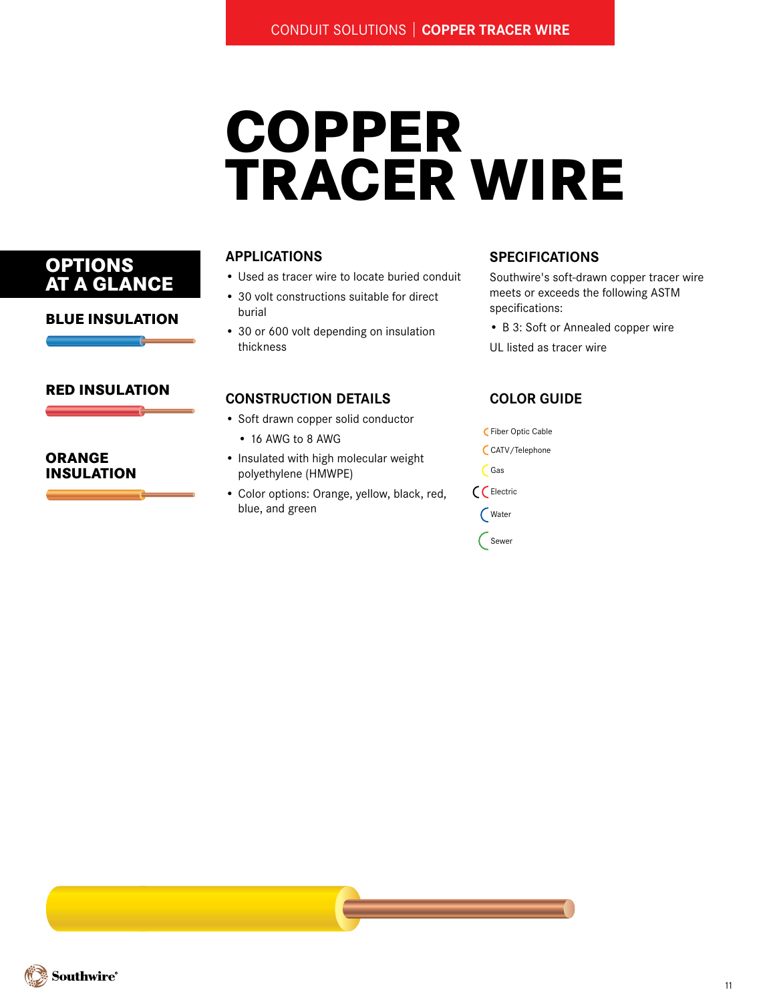# **COPPER TRACER WIRE**

## **APPLICATIONS**

- Used as tracer wire to locate buried conduit
- 30 volt constructions suitable for direct burial
- 30 or 600 volt depending on insulation thickness

### **SPECIFICATIONS**

- Southwire's soft-drawn copper tracer wire meets or exceeds the following ASTM specifications:
- B 3: Soft or Annealed copper wire
- UL listed as tracer wire

## **CONSTRUCTION DETAILS**

- Soft drawn copper solid conductor
	- 16 AWG to 8 AWG
- Insulated with high molecular weight polyethylene (HMWPE)
- Color options: Orange, yellow, black, red, blue, and green

# **COLOR Guide**

Fiber Optic Cable CATV/Telephone Gas Electric Water Sewer

# **Options AT A GLANCE**

#### **BLUE INSULATION**

#### **RED INSULATION**

#### **ORANGE INSULATION**